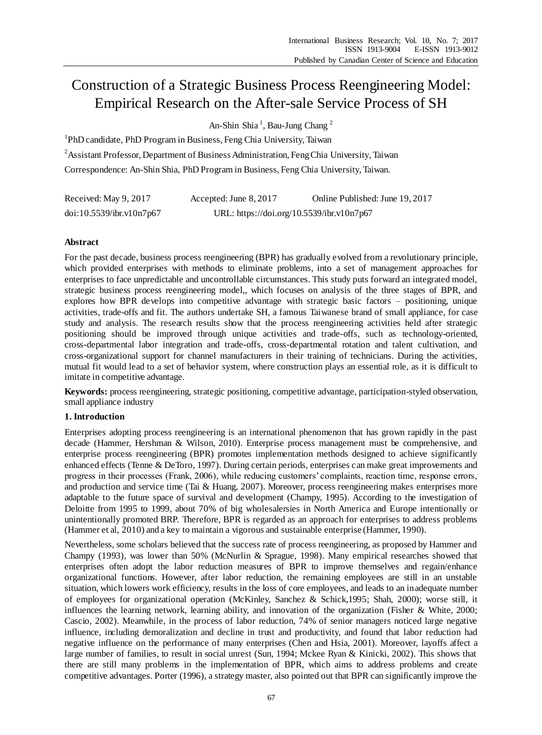# Construction of a Strategic Business Process Reengineering Model: Empirical Research on the After-sale Service Process of SH

An-Shin Shia<sup>1</sup>, Bau-Jung Chang<sup>2</sup>

<sup>1</sup>PhD candidate, PhD Program in Business, Feng Chia University, Taiwan <sup>2</sup> Assistant Professor, Department of Business Administration, Feng Chia University, Taiwan Correspondence: An-Shin Shia, PhD Program in Business, Feng Chia University, Taiwan.

| Received: May 9, 2017    | Accepted: June 8, 2017                    | Online Published: June 19, 2017 |
|--------------------------|-------------------------------------------|---------------------------------|
| doi:10.5539/ibr.v10n7p67 | URL: https://doi.org/10.5539/ibr.v10n7p67 |                                 |

# **Abstract**

For the past decade, business process reengineering (BPR) has gradually evolved from a revolutionary principle, which provided enterprises with methods to eliminate problems, into a set of management approaches for enterprises to face unpredictable and uncontrollable circumstances. This study puts forward an integrated model, strategic business process reengineering model,, which focuses on analysis of the three stages of BPR, and explores how BPR develops into competitive advantage with strategic basic factors – positioning, unique activities, trade-offs and fit. The authors undertake SH, a famous Taiwanese brand of small appliance, for case study and analysis. The research results show that the process reengineering activities held after strategic positioning should be improved through unique activities and trade-offs, such as technology-oriented, cross-departmental labor integration and trade-offs, cross-departmental rotation and talent cultivation, and cross-organizational support for channel manufacturers in their training of technicians. During the activities, mutual fit would lead to a set of behavior system, where construction plays an essential role, as it is difficult to imitate in competitive advantage.

**Keywords:** process reengineering, strategic positioning, competitive advantage, participation-styled observation, small appliance industry

# **1. Introduction**

Enterprises adopting process reengineering is an international phenomenon that has grown rapidly in the past decade (Hammer, Hershman & Wilson, 2010). Enterprise process management must be comprehensive, and enterprise process reengineering (BPR) promotes implementation methods designed to achieve significantly enhanced effects (Tenne & DeToro, 1997). During certain periods, enterprises can make great improvements and progress in their processes (Frank, 2006), while reducing customers' complaints, reaction time, response errors, and production and service time (Tai & Huang, 2007). Moreover, process reengineering makes enterprises more adaptable to the future space of survival and development (Champy, 1995). According to the investigation of Deloitte from 1995 to 1999, about 70% of big wholesalersies in North America and Europe intentionally or unintentionally promoted BRP. Therefore, BPR is regarded as an approach for enterprises to address problems (Hammer et al, 2010) and a key to maintain a vigorous and sustainable enterprise (Hammer, 1990).

Nevertheless, some scholars believed that the success rate of process reengineering, as proposed by Hammer and Champy (1993), was lower than 50% (McNurlin & Sprague, 1998). Many empirical researches showed that enterprises often adopt the labor reduction measures of BPR to improve themselves and regain/enhance organizational functions. However, after labor reduction, the remaining employees are still in an unstable situation, which lowers work efficiency, results in the loss of core employees, and leads to an inadequate number of employees for organizational operation (McKinley, Sanchez & Schick,1995; Shah, 2000); worse still, it influences the learning network, learning ability, and innovation of the organization (Fisher & White, 2000; Cascio, 2002). Meanwhile, in the process of labor reduction, 74% of senior managers noticed large negative influence, including demoralization and decline in trust and productivity, and found that labor reduction had negative influence on the performance of many enterprises (Chen and Hsia, 2001). Moreover, layoffs affect a large number of families, to result in social unrest (Sun, 1994; Mckee Ryan & Kinicki, 2002). This shows that there are still many problems in the implementation of BPR, which aims to address problems and create competitive advantages. Porter (1996), a strategy master, also pointed out that BPR can significantly improve the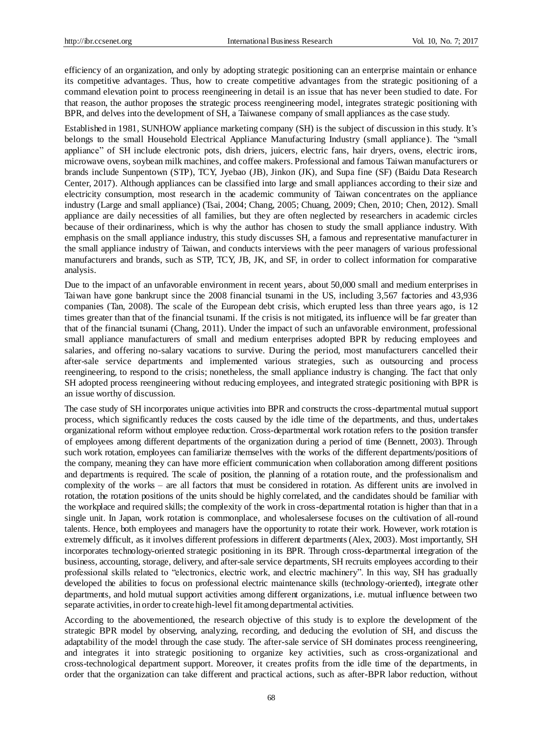efficiency of an organization, and only by adopting strategic positioning can an enterprise maintain or enhance its competitive advantages. Thus, how to create competitive advantages from the strategic positioning of a command elevation point to process reengineering in detail is an issue that has never been studied to date. For that reason, the author proposes the strategic process reengineering model, integrates strategic positioning with BPR, and delves into the development of SH, a Taiwanese company of small appliances as the case study.

Established in 1981, SUNHOW appliance marketing company (SH) is the subject of discussion in this study. It's belongs to the small Household Electrical Appliance Manufacturing Industry (small appliance). The "small appliance" of SH include electronic pots, dish driers, juicers, electric fans, hair dryers, ovens, electric irons, microwave ovens, soybean milk machines, and coffee makers. Professional and famous Taiwan manufacturers or brands include Sunpentown (STP), TCY, Jyebao (JB), Jinkon (JK), and Supa fine (SF) (Baidu Data Research Center, 2017). Although appliances can be classified into large and small appliances according to their size and electricity consumption, most research in the academic community of Taiwan concentrates on the appliance industry (Large and small appliance) (Tsai, 2004; Chang, 2005; Chuang, 2009; Chen, 2010; [Chen,](http://ndltd.ncl.edu.tw/cgi-bin/gs32/gsweb.cgi/ccd=oyvTWD/search?q=auc=%22%E9%99%B3%E5%9C%8B%E8%8F%AF%22.&searchmode=basic) 2012). Small appliance are daily necessities of all families, but they are often neglected by researchers in academic circles because of their ordinariness, which is why the author has chosen to study the small appliance industry. With emphasis on the small appliance industry, this study discusses SH, a famous and representative manufacturer in the small appliance industry of Taiwan, and conducts interviews with the peer managers of various professional manufacturers and brands, such as STP, TCY, JB, JK, and SF, in order to collect information for comparative analysis.

Due to the impact of an unfavorable environment in recent years, about 50,000 small and medium enterprises in Taiwan have gone bankrupt since the 2008 financial tsunami in the US, including 3,567 factories and 43,936 companies (Tan, 2008). The scale of the European debt crisis, which erupted less than three years ago, is 12 times greater than that of the financial tsunami. If the crisis is not mitigated, its influence will be far greater than that of the financial tsunami (Chang, 2011). Under the impact of such an unfavorable environment, professional small appliance manufacturers of small and medium enterprises adopted BPR by reducing employees and salaries, and offering no-salary vacations to survive. During the period, most manufacturers cancelled their after-sale service departments and implemented various strategies, such as outsourcing and process reengineering, to respond to the crisis; nonetheless, the small appliance industry is changing. The fact that only SH adopted process reengineering without reducing employees, and integrated strategic positioning with BPR is an issue worthy of discussion.

The case study of SH incorporates unique activities into BPR and constructs the cross-departmental mutual support process, which significantly reduces the costs caused by the idle time of the departments, and thus, undertakes organizational reform without employee reduction. Cross-departmental work rotation refers to the position transfer of employees among different departments of the organization during a period of time (Bennett, 2003). Through such work rotation, employees can familiarize themselves with the works of the different departments/positions of the company, meaning they can have more efficient communication when collaboration among different positions and departments is required. The scale of position, the planning of a rotation route, and the professionalism and complexity of the works – are all factors that must be considered in rotation. As different units are involved in rotation, the rotation positions of the units should be highly correlated, and the candidates should be familiar with the workplace and required skills; the complexity of the work in cross-departmental rotation is higher than that in a single unit. In Japan, work rotation is commonplace, and wholesalersese focuses on the cultivation of all-round talents. Hence, both employees and managers have the opportunity to rotate their work. However, work rotation is extremely difficult, as it involves different professions in different departments (Alex, 2003). Most importantly, SH incorporates technology-oriented strategic positioning in its BPR. Through cross-departmental integration of the business, accounting, storage, delivery, and after-sale service departments, SH recruits employees according to their professional skills related to "electronics, electric work, and electric machinery". In this way, SH has gradually developed the abilities to focus on professional electric maintenance skills (technology-oriented), integrate other departments, and hold mutual support activities among different organizations, i.e. mutual influence between two separate activities, in order to create high-level fit among departmental activities.

According to the abovementioned, the research objective of this study is to explore the development of the strategic BPR model by observing, analyzing, recording, and deducing the evolution of SH, and discuss the adaptability of the model through the case study. The after-sale service of SH dominates process reengineering, and integrates it into strategic positioning to organize key activities, such as cross-organizational and cross-technological department support. Moreover, it creates profits from the idle time of the departments, in order that the organization can take different and practical actions, such as after-BPR labor reduction, without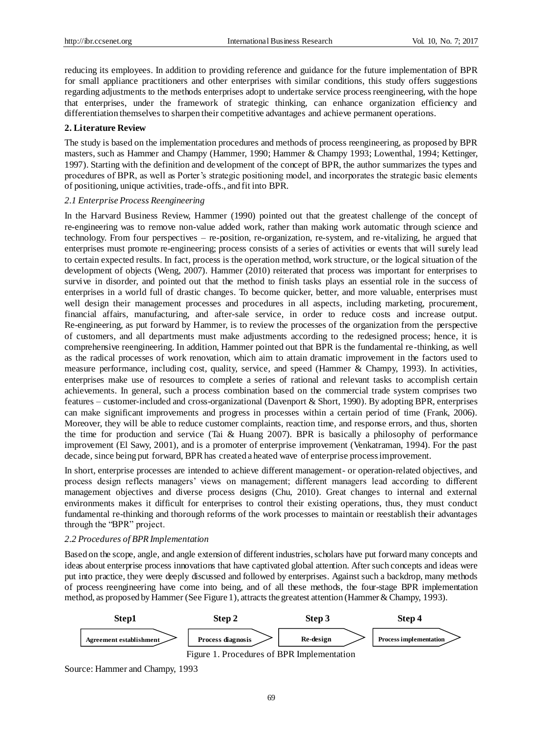reducing its employees. In addition to providing reference and guidance for the future implementation of BPR for small appliance practitioners and other enterprises with similar conditions, this study offers suggestions regarding adjustments to the methods enterprises adopt to undertake service process reengineering, with the hope that enterprises, under the framework of strategic thinking, can enhance organization efficiency and differentiation themselves to sharpen their competitive advantages and achieve permanent operations.

#### **2. Literature Review**

The study is based on the implementation procedures and methods of process reengineering, as proposed by BPR masters, such as Hammer and Champy (Hammer, 1990; Hammer & Champy 1993; Lowenthal, 1994; Kettinger, 1997). Starting with the definition and development of the concept of BPR, the author summarizes the types and procedures of BPR, as well as Porter's strategic positioning model, and incorporates the strategic basic elements of positioning, unique activities, trade-offs., and fit into BPR.

#### *2.1 Enterprise Process Reengineering*

In the Harvard Business Review, Hammer (1990) pointed out that the greatest challenge of the concept of re-engineering was to remove non-value added work, rather than making work automatic through science and technology. From four perspectives – re-position, re-organization, re-system, and re-vitalizing, he argued that enterprises must promote re-engineering; process consists of a series of activities or events that will surely lead to certain expected results. In fact, process is the operation method, work structure, or the logical situation of the development of objects (Weng, 2007). Hammer (2010) reiterated that process was important for enterprises to survive in disorder, and pointed out that the method to finish tasks plays an essential role in the success of enterprises in a world full of drastic changes. To become quicker, better, and more valuable, enterprises must well design their management processes and procedures in all aspects, including marketing, procurement, financial affairs, manufacturing, and after-sale service, in order to reduce costs and increase output. Re-engineering, as put forward by Hammer, is to review the processes of the organization from the perspective of customers, and all departments must make adjustments according to the redesigned process; hence, it is comprehensive reengineering. In addition, Hammer pointed out that BPR is the fundamental re-thinking, as well as the radical processes of work renovation, which aim to attain dramatic improvement in the factors used to measure performance, including cost, quality, service, and speed (Hammer & Champy, 1993). In activities, enterprises make use of resources to complete a series of rational and relevant tasks to accomplish certain achievements. In general, such a process combination based on the commercial trade system comprises two features – customer-included and cross-organizational (Davenport & Short, 1990). By adopting BPR, enterprises can make significant improvements and progress in processes within a certain period of time (Frank, 2006). Moreover, they will be able to reduce customer complaints, reaction time, and response errors, and thus, shorten the time for production and service (Tai & Huang 2007). BPR is basically a philosophy of performance improvement (El Sawy, 2001), and is a promoter of enterprise improvement (Venkatraman, 1994). For the past decade, since being put forward, BPR has created a heated wave of enterprise process improvement.

In short, enterprise processes are intended to achieve different management- or operation-related objectives, and process design reflects managers' views on management; different managers lead according to different management objectives and diverse process designs (Chu, 2010). Great changes to internal and external environments makes it difficult for enterprises to control their existing operations, thus, they must conduct fundamental re-thinking and thorough reforms of the work processes to maintain or reestablish their advantages through the "BPR" project.

#### *2.2 Procedures of BPR Implementation*

Based on the scope, angle, and angle extension of different industries, scholars have put forward many concepts and ideas about enterprise process innovations that have captivated global attention. After such concepts and ideas were put into practice, they were deeply discussed and followed by enterprises. Against such a backdrop, many methods of process reengineering have come into being, and of all these methods, the four-stage BPR implementation method, as proposed by Hammer (See Figure 1), attracts the greatest attention (Hammer & Champy, 1993).



Figure 1. Procedures of BPR Implementation

Source: Hammer and Champy, 1993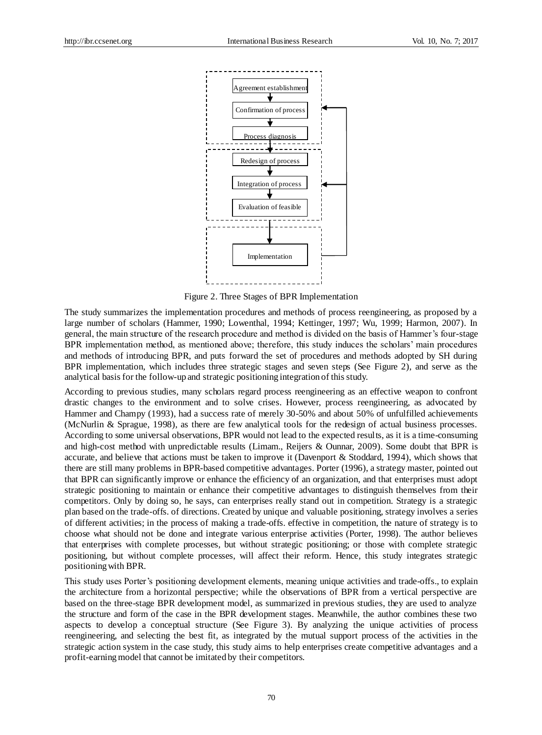

Figure 2. Three Stages of BPR Implementation

The study summarizes the implementation procedures and methods of process reengineering, as proposed by a large number of scholars (Hammer, 1990; Lowenthal, 1994; Kettinger, 1997; Wu, 1999; Harmon, 2007). In general, the main structure of the research procedure and method is divided on the basis of Hammer's four-stage BPR implementation method, as mentioned above; therefore, this study induces the scholars' main procedures and methods of introducing BPR, and puts forward the set of procedures and methods adopted by SH during BPR implementation, which includes three strategic stages and seven steps (See Figure 2), and serve as the analytical basis for the follow-up and strategic positioning integration of this study.

According to previous studies, many scholars regard process reengineering as an effective weapon to confront drastic changes to the environment and to solve crises. However, process reengineering, as advocated by Hammer and Champy (1993), had a success rate of merely 30-50% and about 50% of unfulfilled achievements (McNurlin & Sprague, 1998), as there are few analytical tools for the redesign of actual business processes. According to some universal observations, BPR would not lead to the expected results, as it is a time-consuming and high-cost method with unpredictable results (Limam., Reijers & Ounnar, 2009). Some doubt that BPR is accurate, and believe that actions must be taken to improve it (Davenport & Stoddard, 1994), which shows that there are still many problems in BPR-based competitive advantages. Porter (1996), a strategy master, pointed out that BPR can significantly improve or enhance the efficiency of an organization, and that enterprises must adopt strategic positioning to maintain or enhance their competitive advantages to distinguish themselves from their competitors. Only by doing so, he says, can enterprises really stand out in competition. Strategy is a strategic plan based on the trade-offs. of directions. Created by unique and valuable positioning, strategy involves a series of different activities; in the process of making a trade-offs. effective in competition, the nature of strategy is to choose what should not be done and integrate various enterprise activities (Porter, 1998). The author believes that enterprises with complete processes, but without strategic positioning; or those with complete strategic positioning, but without complete processes, will affect their reform. Hence, this study integrates strategic positioning with BPR.

This study uses Porter's positioning development elements, meaning unique activities and trade-offs., to explain the architecture from a horizontal perspective; while the observations of BPR from a vertical perspective are based on the three-stage BPR development model, as summarized in previous studies, they are used to analyze the structure and form of the case in the BPR development stages. Meanwhile, the author combines these two aspects to develop a conceptual structure (See Figure 3). By analyzing the unique activities of process reengineering, and selecting the best fit, as integrated by the mutual support process of the activities in the strategic action system in the case study, this study aims to help enterprises create competitive advantages and a profit-earning model that cannot be imitated by their competitors.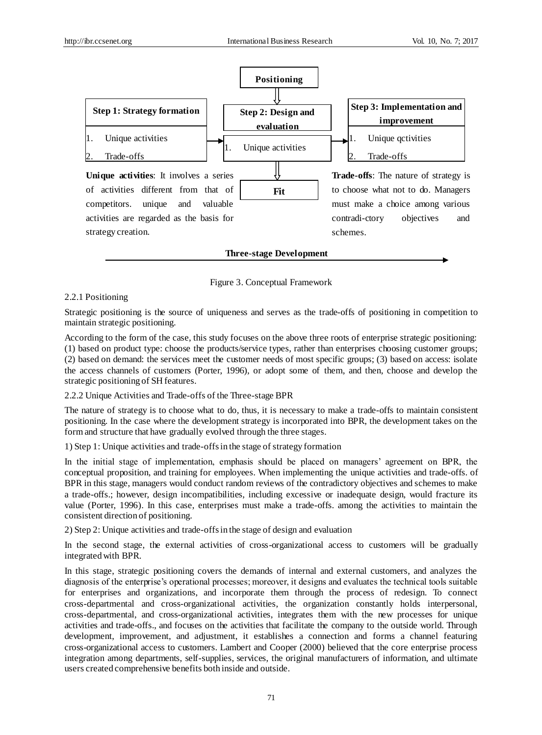

Figure 3. Conceptual Framework

#### 2.2.1 Positioning

Strategic positioning is the source of uniqueness and serves as the trade-offs of positioning in competition to maintain strategic positioning.

According to the form of the case, this study focuses on the above three roots of enterprise strategic positioning: (1) based on product type: choose the products/service types, rather than enterprises choosing customer groups; (2) based on demand: the services meet the customer needs of most specific groups; (3) based on access: isolate the access channels of customers (Porter, 1996), or adopt some of them, and then, choose and develop the strategic positioning of SH features.

2.2.2 Unique Activities and Trade-offs of the Three-stage BPR

The nature of strategy is to choose what to do, thus, it is necessary to make a trade-offs to maintain consistent positioning. In the case where the development strategy is incorporated into BPR, the development takes on the form and structure that have gradually evolved through the three stages.

1) Step 1: Unique activities and trade-offsin the stage of strategy formation

In the initial stage of implementation, emphasis should be placed on managers' agreement on BPR, the conceptual proposition, and training for employees. When implementing the unique activities and trade-offs. of BPR in this stage, managers would conduct random reviews of the contradictory objectives and schemes to make a trade-offs.; however, design incompatibilities, including excessive or inadequate design, would fracture its value (Porter, 1996). In this case, enterprises must make a trade-offs. among the activities to maintain the consistent direction of positioning.

2) Step 2: Unique activities and trade-offsin the stage of design and evaluation

In the second stage, the external activities of cross-organizational access to customers will be gradually integrated with BPR.

In this stage, strategic positioning covers the demands of internal and external customers, and analyzes the diagnosis of the enterprise's operational processes; moreover, it designs and evaluates the technical tools suitable for enterprises and organizations, and incorporate them through the process of redesign. To connect cross-departmental and cross-organizational activities, the organization constantly holds interpersonal, cross-departmental, and cross-organizational activities, integrates them with the new processes for unique activities and trade-offs., and focuses on the activities that facilitate the company to the outside world. Through development, improvement, and adjustment, it establishes a connection and forms a channel featuring cross-organizational access to customers. Lambert and Cooper (2000) believed that the core enterprise process integration among departments, self-supplies, services, the original manufacturers of information, and ultimate users created comprehensive benefits both inside and outside.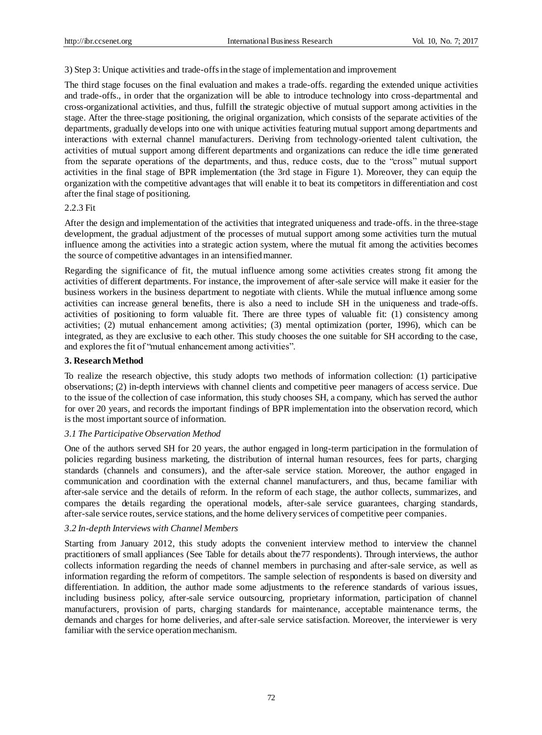3) Step 3: Unique activities and trade-offsin the stage of implementation and improvement

The third stage focuses on the final evaluation and makes a trade-offs. regarding the extended unique activities and trade-offs., in order that the organization will be able to introduce technology into cross-departmental and cross-organizational activities, and thus, fulfill the strategic objective of mutual support among activities in the stage. After the three-stage positioning, the original organization, which consists of the separate activities of the departments, gradually develops into one with unique activities featuring mutual support among departments and interactions with external channel manufacturers. Deriving from technology-oriented talent cultivation, the activities of mutual support among different departments and organizations can reduce the idle time generated from the separate operations of the departments, and thus, reduce costs, due to the "cross" mutual support activities in the final stage of BPR implementation (the 3rd stage in Figure 1). Moreover, they can equip the organization with the competitive advantages that will enable it to beat its competitors in differentiation and cost after the final stage of positioning.

#### 2.2.3 Fit

After the design and implementation of the activities that integrated uniqueness and trade-offs. in the three-stage development, the gradual adjustment of the processes of mutual support among some activities turn the mutual influence among the activities into a strategic action system, where the mutual fit among the activities becomes the source of competitive advantages in an intensified manner.

Regarding the significance of fit, the mutual influence among some activities creates strong fit among the activities of different departments. For instance, the improvement of after-sale service will make it easier for the business workers in the business department to negotiate with clients. While the mutual influence among some activities can increase general benefits, there is also a need to include SH in the uniqueness and trade-offs. activities of positioning to form valuable fit. There are three types of valuable fit: (1) consistency among activities; (2) mutual enhancement among activities; (3) mental optimization (porter, 1996), which can be integrated, as they are exclusive to each other. This study chooses the one suitable for SH according to the case, and explores the fit of "mutual enhancement among activities".

#### **3. Research Method**

To realize the research objective, this study adopts two methods of information collection: (1) participative observations; (2) in-depth interviews with channel clients and competitive peer managers of access service. Due to the issue of the collection of case information, this study chooses SH, a company, which has served the author for over 20 years, and records the important findings of BPR implementation into the observation record, which is the most important source of information.

#### *3.1 The Participative Observation Method*

One of the authors served SH for 20 years, the author engaged in long-term participation in the formulation of policies regarding business marketing, the distribution of internal human resources, fees for parts, charging standards (channels and consumers), and the after-sale service station. Moreover, the author engaged in communication and coordination with the external channel manufacturers, and thus, became familiar with after-sale service and the details of reform. In the reform of each stage, the author collects, summarizes, and compares the details regarding the operational models, after-sale service guarantees, charging standards, after-sale service routes, service stations, and the home delivery services of competitive peer companies.

#### *3.2 In-depth Interviews with Channel Members*

Starting from January 2012, this study adopts the convenient interview method to interview the channel practitioners of small appliances (See Table for details about the77 respondents). Through interviews, the author collects information regarding the needs of channel members in purchasing and after-sale service, as well as information regarding the reform of competitors. The sample selection of respondents is based on diversity and differentiation. In addition, the author made some adjustments to the reference standards of various issues, including business policy, after-sale service outsourcing, proprietary information, participation of channel manufacturers, provision of parts, charging standards for maintenance, acceptable maintenance terms, the demands and charges for home deliveries, and after-sale service satisfaction. Moreover, the interviewer is very familiar with the service operation mechanism.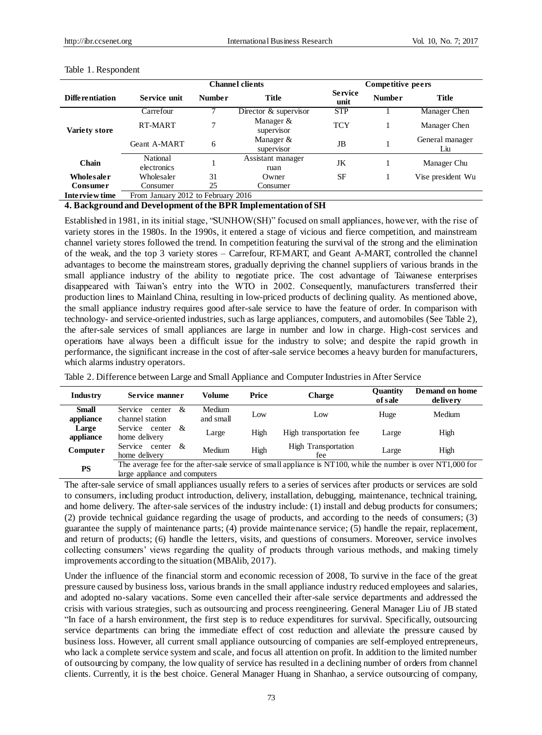|                  |                                    |                               | <b>Channel clients</b>    |                        | Competitive peers |                        |
|------------------|------------------------------------|-------------------------------|---------------------------|------------------------|-------------------|------------------------|
| Diffe rentiation | Service unit                       | <b>Title</b><br><b>Number</b> |                           | <b>Service</b><br>unit | <b>Number</b>     | <b>Title</b>           |
|                  | Carrefour                          |                               | Director & supervisor     | <b>STP</b>             |                   | Manager Chen           |
| Variety store    | RT-MART                            | $\mathbf{7}$                  | Manager &<br>supervisor   | <b>TCY</b>             |                   | Manager Chen           |
|                  | Geant A-MART                       | 6                             | Manager $&$<br>supervisor | JB                     |                   | General manager<br>Liu |
| Chain            | National                           |                               | Assistant manager         | JK                     |                   |                        |
|                  | electronics                        |                               | ruan                      |                        |                   | Manager Chu            |
| Wholesaler       | Wholesaler                         | 31                            | Owner                     | <b>SF</b>              |                   | Vise president Wu      |
| <b>Consumer</b>  | Consumer                           | 25                            | Consumer                  |                        |                   |                        |
| Interview time   | From January 2012 to February 2016 |                               |                           |                        |                   |                        |

#### Table 1. Respondent

**4. Background and Development of the BPR Implementation of SH** 

Established in 1981, in its initial stage, "SUNHOW(SH)" focused on small appliances, however, with the rise of variety stores in the 1980s. In the 1990s, it entered a stage of vicious and fierce competition, and mainstream channel variety stores followed the trend. In competition featuring the survival of the strong and the elimination of the weak, and the top 3 variety stores – Carrefour, RT-MART, and Geant A-MART, controlled the channel advantages to become the mainstream stores, gradually depriving the channel suppliers of various brands in the small appliance industry of the ability to negotiate price. The cost advantage of Taiwanese enterprises disappeared with Taiwan's entry into the WTO in 2002. Consequently, manufacturers transferred their production lines to Mainland China, resulting in low-priced products of declining quality. As mentioned above, the small appliance industry requires good after-sale service to have the feature of order. In comparison with technology- and service-oriented industries, such as large appliances, computers, and automobiles (See Table 2), the after-sale services of small appliances are large in number and low in charge. High-cost services and operations have always been a difficult issue for the industry to solve; and despite the rapid growth in performance, the significant increase in the cost of after-sale service becomes a heavy burden for manufacturers, which alarms industry operators.

| Table 2. Difference between Large and Small Appliance and Computer Industries in After Service |  |  |  |  |  |
|------------------------------------------------------------------------------------------------|--|--|--|--|--|
|                                                                                                |  |  |  |  |  |

| <b>Industry</b>    | Volume<br>Service manner                  |                     | Price | <b>Charge</b>                                                                                                     | <b>Ouantity</b><br>of sale | Demand on home<br>delivery |
|--------------------|-------------------------------------------|---------------------|-------|-------------------------------------------------------------------------------------------------------------------|----------------------------|----------------------------|
| Small<br>appliance | Service<br>center<br>&<br>channel station | Medium<br>and small | Low   | Low                                                                                                               | Huge                       | Medium                     |
| Large<br>appliance | Service center<br>$-\&$<br>home delivery  | Large               | High  | High transportation fee                                                                                           | Large                      | High                       |
| Computer           | Service<br>- &<br>center<br>home delivery | Medium              | High  | <b>High Transportation</b><br>fee                                                                                 | Large                      | High                       |
| <b>PS</b>          | large appliance and computers             |                     |       | The average fee for the after-sale service of small appliance is $NT100$ , while the number is over $NT1,000$ for |                            |                            |

The after-sale service of small appliances usually refers to a series of services after products or services are sold to consumers, including product introduction, delivery, installation, debugging, maintenance, technical training, and home delivery. The after-sale services of the industry include: (1) install and debug products for consumers; (2) provide technical guidance regarding the usage of products, and according to the needs of consumers; (3) guarantee the supply of maintenance parts; (4) provide maintenance service; (5) handle the repair, replacement, and return of products; (6) handle the letters, visits, and questions of consumers. Moreover, service involves collecting consumers' views regarding the quality of products through various methods, and making timely improvements according to the situation (MBAlib, 2017).

Under the influence of the financial storm and economic recession of 2008, To survive in the face of the great pressure caused by business loss, various brands in the small appliance industry reduced employees and salaries, and adopted no-salary vacations. Some even cancelled their after-sale service departments and addressed the crisis with various strategies, such as outsourcing and process reengineering. General Manager Liu of JB stated "In face of a harsh environment, the first step is to reduce expenditures for survival. Specifically, outsourcing service departments can bring the immediate effect of cost reduction and alleviate the pressure caused by business loss. However, all current small appliance outsourcing of companies are self-employed entrepreneurs, who lack a complete service system and scale, and focus all attention on profit. In addition to the limited number of outsourcing by company, the low quality of service has resulted in a declining number of orders from channel clients. Currently, it is the best choice. General Manager Huang in Shanhao, a service outsourcing of company,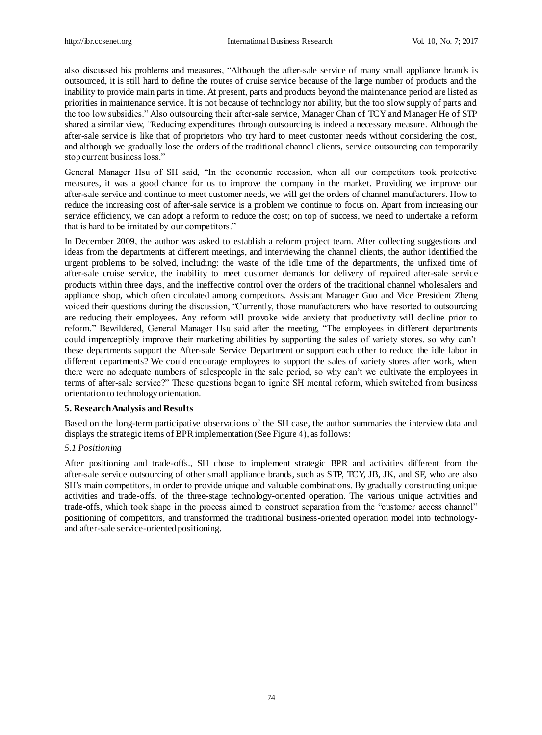also discussed his problems and measures, "Although the after-sale service of many small appliance brands is outsourced, it is still hard to define the routes of cruise service because of the large number of products and the inability to provide main parts in time. At present, parts and products beyond the maintenance period are listed as priorities in maintenance service. It is not because of technology nor ability, but the too slow supply of parts and the too low subsidies." Also outsourcing their after-sale service, Manager Chan of TCY and Manager He of STP shared a similar view, "Reducing expenditures through outsourcing is indeed a necessary measure. Although the after-sale service is like that of proprietors who try hard to meet customer needs without considering the cost, and although we gradually lose the orders of the traditional channel clients, service outsourcing can temporarily stop current business loss."

General Manager Hsu of SH said, "In the economic recession, when all our competitors took protective measures, it was a good chance for us to improve the company in the market. Providing we improve our after-sale service and continue to meet customer needs, we will get the orders of channel manufacturers. How to reduce the increasing cost of after-sale service is a problem we continue to focus on. Apart from increasing our service efficiency, we can adopt a reform to reduce the cost; on top of success, we need to undertake a reform that is hard to be imitated by our competitors."

In December 2009, the author was asked to establish a reform project team. After collecting suggestions and ideas from the departments at different meetings, and interviewing the channel clients, the author identified the urgent problems to be solved, including: the waste of the idle time of the departments, the unfixed time of after-sale cruise service, the inability to meet customer demands for delivery of repaired after-sale service products within three days, and the ineffective control over the orders of the traditional channel wholesalers and appliance shop, which often circulated among competitors. Assistant Manager Guo and Vice President Zheng voiced their questions during the discussion, "Currently, those manufacturers who have resorted to outsourcing are reducing their employees. Any reform will provoke wide anxiety that productivity will decline prior to reform." Bewildered, General Manager Hsu said after the meeting, "The employees in different departments could imperceptibly improve their marketing abilities by supporting the sales of variety stores, so why can't these departments support the After-sale Service Department or support each other to reduce the idle labor in different departments? We could encourage employees to support the sales of variety stores after work, when there were no adequate numbers of salespeople in the sale period, so why can't we cultivate the employees in terms of after-sale service?" These questions began to ignite SH mental reform, which switched from business orientation to technology orientation.

#### **5. Research Analysis and Results**

Based on the long-term participative observations of the SH case, the author summaries the interview data and displays the strategic items of BPR implementation (See Figure 4), as follows:

# *5.1 Positioning*

After positioning and trade-offs., SH chose to implement strategic BPR and activities different from the after-sale service outsourcing of other small appliance brands, such as STP, TCY, JB, JK, and SF, who are also SH's main competitors, in order to provide unique and valuable combinations. By gradually constructing unique activities and trade-offs. of the three-stage technology-oriented operation. The various unique activities and trade-offs, which took shape in the process aimed to construct separation from the "customer access channel" positioning of competitors, and transformed the traditional business-oriented operation model into technologyand after-sale service-oriented positioning.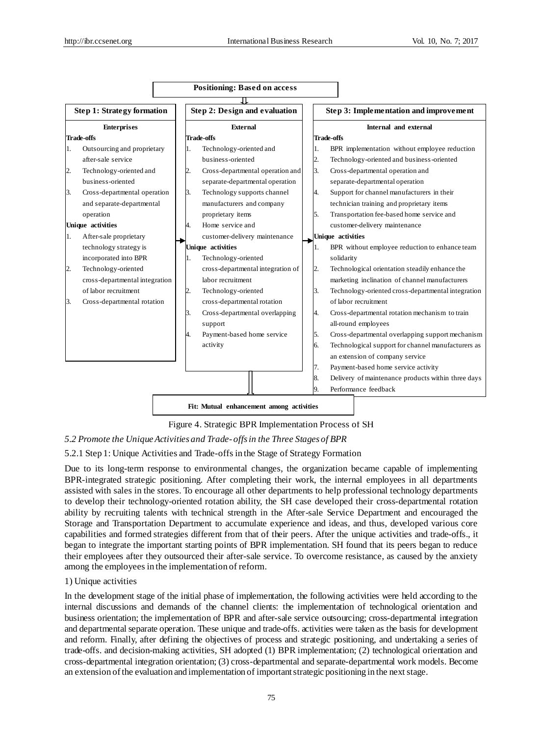|                  |                                   |    | <b>Positioning: Based on access</b>  |                  |                                                    |
|------------------|-----------------------------------|----|--------------------------------------|------------------|----------------------------------------------------|
|                  | <b>Step 1: Strategy formation</b> |    | <b>Step 2: Design and evaluation</b> |                  | Step 3: Implementation and improvement             |
|                  | <b>Enterprises</b>                |    | <b>External</b>                      |                  | Internal and external                              |
|                  | Trade-offs                        |    | <b>Trade-offs</b>                    | Trade-offs       |                                                    |
| 1.               | Outsourcing and proprietary       | 1. | Technology-oriented and              | I1.              | BPR implementation without employee reduction      |
|                  | after-sale service                |    | business-oriented                    | 2.               | Technology-oriented and business-oriented          |
| 2.               | Technology-oriented and           | 2. | Cross-departmental operation and     | 3.               | Cross-departmental operation and                   |
|                  | business-oriented                 |    | separate-departmental operation      |                  | separate-departmental operation                    |
| 3.               | Cross-departmental operation      | 3. | Technology supports channel          | 4.               | Support for channel manufacturers in their         |
|                  | and separate-departmental         |    | manufacturers and company            |                  | technician training and proprietary items          |
|                  | operation                         |    | proprietary items                    | 5.               | Transportation fee-based home service and          |
|                  | Unique activities                 | 4. | Home service and                     |                  | customer-delivery maintenance                      |
| 1.               | After-sale proprietary            |    | customer-delivery maintenance        |                  | Unique activities                                  |
|                  | technology strategy is            |    | Unique activities                    | Π.               | BPR without employee reduction to enhance team     |
|                  | incorporated into BPR             | 1. | Technology-oriented                  |                  | solidarity                                         |
| $\overline{2}$ . | Technology-oriented               |    | cross-departmental integration of    | $\overline{2}$ . | Technological orientation steadily enhance the     |
|                  | cross-departmental integration    |    | labor recruitment                    |                  | marketing inclination of channel manufacturers     |
|                  | of labor recruitment              | 2. | Technology-oriented                  | 3.               | Technology-oriented cross-departmental integration |
| 3.               | Cross-departmental rotation       |    | cross-departmental rotation          |                  | of labor recruitment                               |
|                  |                                   | 3. | Cross-departmental overlapping       | 4.               | Cross-departmental rotation mechanism to train     |
|                  |                                   |    | support                              |                  | all-round employees                                |
|                  |                                   | 4. | Payment-based home service           | 5.               | Cross-departmental overlapping support mechanism   |
|                  |                                   |    | activity                             | 6.               | Technological support for channel manufacturers as |
|                  |                                   |    |                                      |                  | an extension of company service                    |
|                  |                                   |    |                                      | 17.              | Payment-based home service activity                |
|                  |                                   |    |                                      | 8.               | Delivery of maintenance products within three days |
|                  |                                   |    |                                      | 9.               | Performance feedback                               |
|                  |                                   |    |                                      |                  |                                                    |

**Fit: Mutual enhancement among activities**

Figure 4. Strategic BPR Implementation Process of SH

#### *5.2 Promote the Unique Activities and Trade- offsin the Three Stages of BPR*

#### 5.2.1 Step 1: Unique Activities and Trade-offs in the Stage of Strategy Formation

Due to its long-term response to environmental changes, the organization became capable of implementing BPR-integrated strategic positioning. After completing their work, the internal employees in all departments assisted with sales in the stores. To encourage all other departments to help professional technology departments to develop their technology-oriented rotation ability, the SH case developed their cross-departmental rotation ability by recruiting talents with technical strength in the After-sale Service Department and encouraged the Storage and Transportation Department to accumulate experience and ideas, and thus, developed various core capabilities and formed strategies different from that of their peers. After the unique activities and trade-offs., it began to integrate the important starting points of BPR implementation. SH found that its peers began to reduce their employees after they outsourced their after-sale service. To overcome resistance, as caused by the anxiety among the employees in the implementation of reform.

#### 1) Unique activities

In the development stage of the initial phase of implementation, the following activities were held according to the internal discussions and demands of the channel clients: the implementation of technological orientation and business orientation; the implementation of BPR and after-sale service outsourcing; cross-departmental integration and departmental separate operation. These unique and trade-offs. activities were taken as the basis for development and reform. Finally, after defining the objectives of process and strategic positioning, and undertaking a series of trade-offs. and decision-making activities, SH adopted (1) BPR implementation; (2) technological orientation and cross-departmental integration orientation; (3) cross-departmental and separate-departmental work models. Become an extension of the evaluation and implementation of important strategic positioning in the next stage.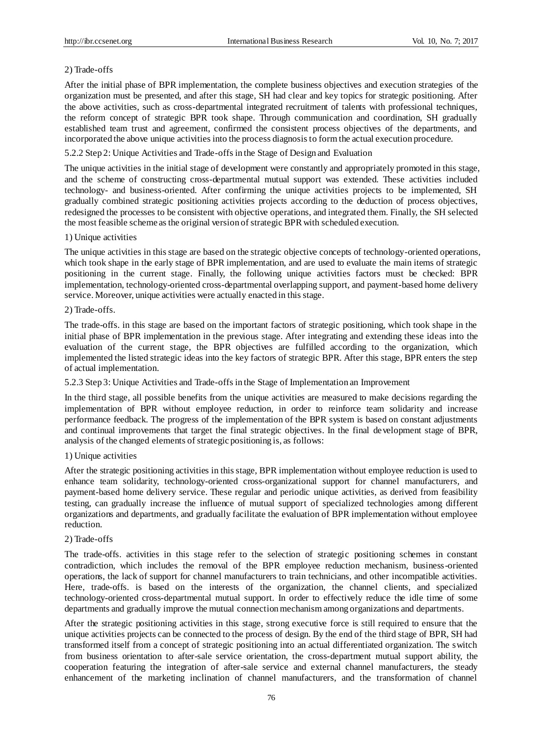# 2) Trade-offs

After the initial phase of BPR implementation, the complete business objectives and execution strategies of the organization must be presented, and after this stage, SH had clear and key topics for strategic positioning. After the above activities, such as cross-departmental integrated recruitment of talents with professional techniques, the reform concept of strategic BPR took shape. Through communication and coordination, SH gradually established team trust and agreement, confirmed the consistent process objectives of the departments, and incorporated the above unique activities into the process diagnosis to form the actual execution procedure.

5.2.2 Step 2: Unique Activities and Trade-offs in the Stage of Design and Evaluation

The unique activities in the initial stage of development were constantly and appropriately promoted in this stage, and the scheme of constructing cross-departmental mutual support was extended. These activities included technology- and business-oriented. After confirming the unique activities projects to be implemented, SH gradually combined strategic positioning activities projects according to the deduction of process objectives, redesigned the processes to be consistent with objective operations, and integrated them. Finally, the SH selected the most feasible scheme as the original version of strategic BPR with scheduled execution.

#### 1) Unique activities

The unique activities in this stage are based on the strategic objective concepts of technology-oriented operations, which took shape in the early stage of BPR implementation, and are used to evaluate the main items of strategic positioning in the current stage. Finally, the following unique activities factors must be checked: BPR implementation, technology-oriented cross-departmental overlapping support, and payment-based home delivery service. Moreover, unique activities were actually enacted in this stage.

#### 2) Trade-offs.

The trade-offs. in this stage are based on the important factors of strategic positioning, which took shape in the initial phase of BPR implementation in the previous stage. After integrating and extending these ideas into the evaluation of the current stage, the BPR objectives are fulfilled according to the organization, which implemented the listed strategic ideas into the key factors of strategic BPR. After this stage, BPR enters the step of actual implementation.

#### 5.2.3 Step 3: Unique Activities and Trade-offs in the Stage of Implementation an Improvement

In the third stage, all possible benefits from the unique activities are measured to make decisions regarding the implementation of BPR without employee reduction, in order to reinforce team solidarity and increase performance feedback. The progress of the implementation of the BPR system is based on constant adjustments and continual improvements that target the final strategic objectives. In the final development stage of BPR, analysis of the changed elements of strategic positioning is, as follows:

#### 1) Unique activities

After the strategic positioning activities in this stage, BPR implementation without employee reduction is used to enhance team solidarity, technology-oriented cross-organizational support for channel manufacturers, and payment-based home delivery service. These regular and periodic unique activities, as derived from feasibility testing, can gradually increase the influence of mutual support of specialized technologies among different organizations and departments, and gradually facilitate the evaluation of BPR implementation without employee reduction.

#### 2) Trade-offs

The trade-offs. activities in this stage refer to the selection of strategic positioning schemes in constant contradiction, which includes the removal of the BPR employee reduction mechanism, business-oriented operations, the lack of support for channel manufacturers to train technicians, and other incompatible activities. Here, trade-offs. is based on the interests of the organization, the channel clients, and specialized technology-oriented cross-departmental mutual support. In order to effectively reduce the idle time of some departments and gradually improve the mutual connection mechanism among organizations and departments.

After the strategic positioning activities in this stage, strong executive force is still required to ensure that the unique activities projects can be connected to the process of design. By the end of the third stage of BPR, SH had transformed itself from a concept of strategic positioning into an actual differentiated organization. The switch from business orientation to after-sale service orientation, the cross-department mutual support ability, the cooperation featuring the integration of after-sale service and external channel manufacturers, the steady enhancement of the marketing inclination of channel manufacturers, and the transformation of channel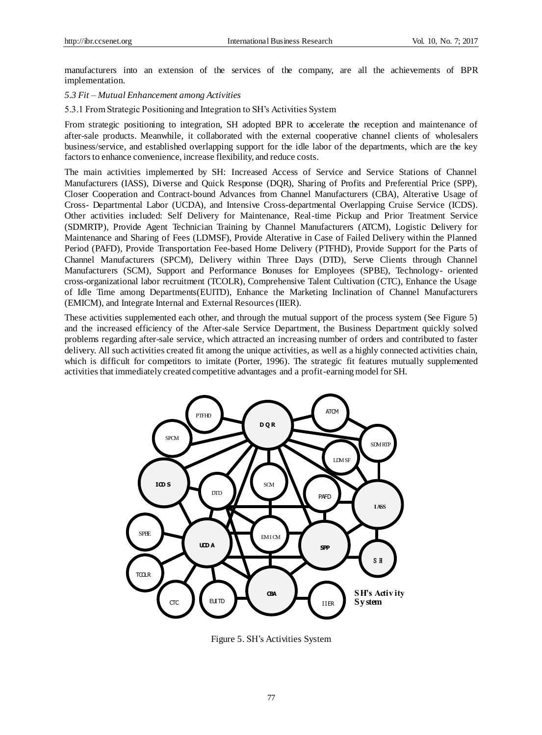manufacturers into an extension of the services of the company, are all the achievements of BPR implementation.

#### *5.3 Fit – Mutual Enhancement among Activities*

5.3.1 From Strategic Positioning and Integration to SH's Activities System

From strategic positioning to integration, SH adopted BPR to accelerate the reception and maintenance of after-sale products. Meanwhile, it collaborated with the external cooperative channel clients of wholesalers business/service, and established overlapping support for the idle labor of the departments, which are the key factors to enhance convenience, increase flexibility, and reduce costs.

The main activities implemented by SH: Increased Access of Service and Service Stations of Channel Manufacturers (IASS), Diverse and Quick Response (DQR), Sharing of Profits and Preferential Price (SPP), Closer Cooperation and Contract-bound Advances from Channel Manufacturers (CBA), Alterative Usage of Cross- Departmental Labor (UCDA), and Intensive Cross-departmental Overlapping Cruise Service (ICDS). Other activities included: Self Delivery for Maintenance, Real-time Pickup and Prior Treatment Service (SDMRTP), Provide Agent Technician Training by Channel Manufacturers (ATCM), Logistic Delivery for Maintenance and Sharing of Fees (LDMSF), Provide Alterative in Case of Failed Delivery within the Planned Period (PAFD), Provide Transportation Fee-based Home Delivery (PTFHD), Provide Support for the Parts of Channel Manufacturers (SPCM), Delivery within Three Days (DTD), Serve Clients through Channel Manufacturers (SCM), Support and Performance Bonuses for Employees (SPBE), Technology- oriented cross-organizational labor recruitment (TCOLR), Comprehensive Talent Cultivation (CTC), Enhance the Usage of Idle Time among Departments(EUITD), Enhance the Marketing Inclination of Channel Manufacturers (EMICM), and Integrate Internal and External Resources (IIER).

These activities supplemented each other, and through the mutual support of the process system (See Figure 5) and the increased efficiency of the After-sale Service Department, the Business Department quickly solved problems regarding after-sale service, which attracted an increasing number of orders and contributed to faster delivery. All such activities created fit among the unique activities, as well as a highly connected activities chain, which is difficult for competitors to imitate (Porter, 1996). The strategic fit features mutually supplemented activities that immediately created competitive advantages and a profit-earning model for SH.



Figure 5. SH's Activities System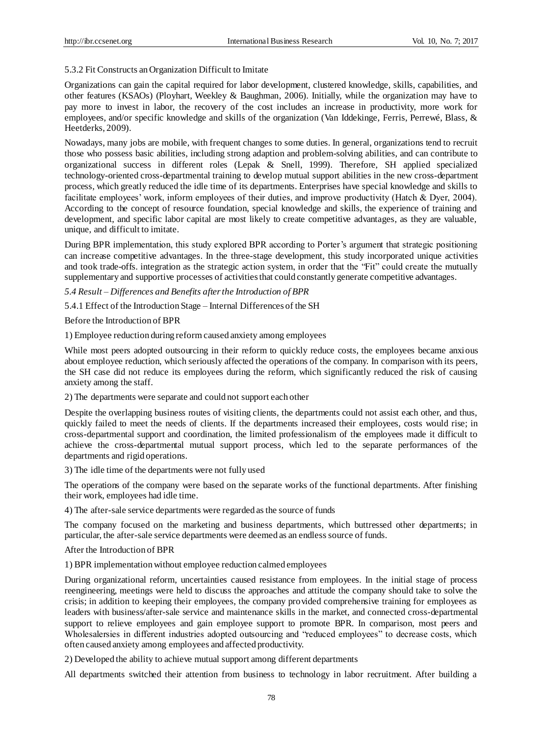#### 5.3.2 Fit Constructs an Organization Difficult to Imitate

Organizations can gain the capital required for labor development, clustered knowledge, skills, capabilities, and other features (KSAOs) (Ployhart, Weekley & Baughman, 2006). Initially, while the organization may have to pay more to invest in labor, the recovery of the cost includes an increase in productivity, more work for employees, and/or specific knowledge and skills of the organization (Van Iddekinge, Ferris, Perrewé, Blass, & Heetderks, 2009).

Nowadays, many jobs are mobile, with frequent changes to some duties. In general, organizations tend to recruit those who possess basic abilities, including strong adaption and problem-solving abilities, and can contribute to organizational success in different roles (Lepak & Snell, 1999). Therefore, SH applied specialized technology-oriented cross-departmental training to develop mutual support abilities in the new cross-department process, which greatly reduced the idle time of its departments. Enterprises have special knowledge and skills to facilitate employees' work, inform employees of their duties, and improve productivity (Hatch & Dyer, 2004). According to the concept of resource foundation, special knowledge and skills, the experience of training and development, and specific labor capital are most likely to create competitive advantages, as they are valuable, unique, and difficult to imitate.

During BPR implementation, this study explored BPR according to Porter's argument that strategic positioning can increase competitive advantages. In the three-stage development, this study incorporated unique activities and took trade-offs. integration as the strategic action system, in order that the "Fit" could create the mutually supplementary and supportive processes of activities that could constantly generate competitive advantages.

*5.4 Result – Differences and Benefits after the Introduction of BPR*

5.4.1 Effect of the Introduction Stage – Internal Differences of the SH

Before the Introduction of BPR

1) Employee reduction during reform caused anxiety among employees

While most peers adopted outsourcing in their reform to quickly reduce costs, the employees became anxious about employee reduction, which seriously affected the operations of the company. In comparison with its peers, the SH case did not reduce its employees during the reform, which significantly reduced the risk of causing anxiety among the staff.

2) The departments were separate and could not support each other

Despite the overlapping business routes of visiting clients, the departments could not assist each other, and thus, quickly failed to meet the needs of clients. If the departments increased their employees, costs would rise; in cross-departmental support and coordination, the limited professionalism of the employees made it difficult to achieve the cross-departmental mutual support process, which led to the separate performances of the departments and rigid operations.

3) The idle time of the departments were not fully used

The operations of the company were based on the separate works of the functional departments. After finishing their work, employees had idle time.

4) The after-sale service departments were regarded as the source of funds

The company focused on the marketing and business departments, which buttressed other departments; in particular, the after-sale service departments were deemed as an endless source of funds.

#### After the Introduction of BPR

1) BPR implementation without employee reduction calmed employees

During organizational reform, uncertainties caused resistance from employees. In the initial stage of process reengineering, meetings were held to discuss the approaches and attitude the company should take to solve the crisis; in addition to keeping their employees, the company provided comprehensive training for employees as leaders with business/after-sale service and maintenance skills in the market, and connected cross-departmental support to relieve employees and gain employee support to promote BPR. In comparison, most peers and Wholesalersies in different industries adopted outsourcing and "reduced employees" to decrease costs, which often caused anxiety among employees and affected productivity.

2) Developed the ability to achieve mutual support among different departments

All departments switched their attention from business to technology in labor recruitment. After building a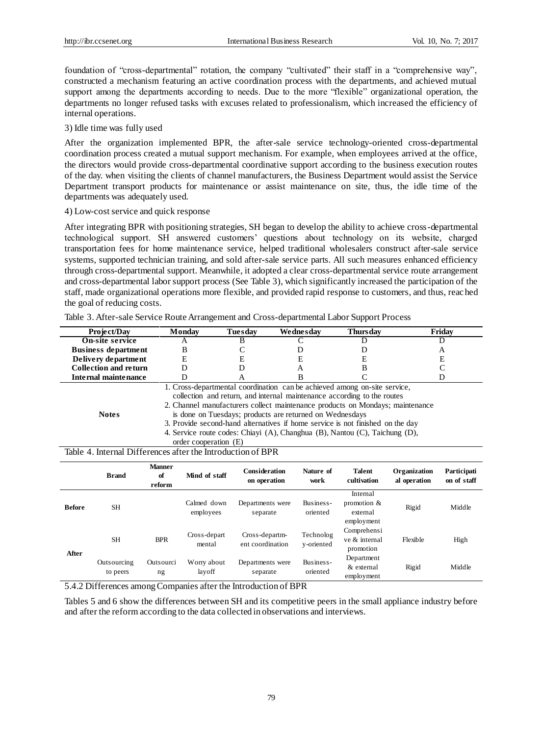foundation of "cross-departmental" rotation, the company "cultivated" their staff in a "comprehensive way", constructed a mechanism featuring an active coordination process with the departments, and achieved mutual support among the departments according to needs. Due to the more "flexible" organizational operation, the departments no longer refused tasks with excuses related to professionalism, which increased the efficiency of internal operations.

## 3) Idle time was fully used

After the organization implemented BPR, the after-sale service technology-oriented cross-departmental coordination process created a mutual support mechanism. For example, when employees arrived at the office, the directors would provide cross-departmental coordinative support according to the business execution routes of the day. when visiting the clients of channel manufacturers, the Business Department would assist the Service Department transport products for maintenance or assist maintenance on site, thus, the idle time of the departments was adequately used.

#### 4) Low-cost service and quick response

After integrating BPR with positioning strategies, SH began to develop the ability to achieve cross-departmental technological support. SH answered customers' questions about technology on its website, charged transportation fees for home maintenance service, helped traditional wholesalers construct after-sale service systems, supported technician training, and sold after-sale service parts. All such measures enhanced efficiency through cross-departmental support. Meanwhile, it adopted a clear cross-departmental service route arrangement and cross-departmental labor support process (See Table 3), which significantly increased the participation of the staff, made organizational operations more flexible, and provided rapid response to customers, and thus, reached the goal of reducing costs.

|                                                             | Project/Day                                                                                                                                          |                 | Monday                | Tuesday                      | Wednesday                                                                      | <b>Thursday</b> |              | Friday        |  |  |  |  |
|-------------------------------------------------------------|------------------------------------------------------------------------------------------------------------------------------------------------------|-----------------|-----------------------|------------------------------|--------------------------------------------------------------------------------|-----------------|--------------|---------------|--|--|--|--|
|                                                             | <b>On-site service</b>                                                                                                                               |                 | В<br>A                |                              | С                                                                              | D               |              | D             |  |  |  |  |
|                                                             | <b>Business department</b>                                                                                                                           |                 | B                     | С                            | D                                                                              | D               |              | A             |  |  |  |  |
|                                                             | Delivery department                                                                                                                                  |                 | E                     | E                            | E                                                                              | E               |              | E             |  |  |  |  |
|                                                             | <b>Collection and return</b>                                                                                                                         |                 | D                     | D                            | A                                                                              | B               |              | $\mathcal{C}$ |  |  |  |  |
|                                                             | Internal maintenance                                                                                                                                 |                 | D                     | A                            | B                                                                              | $\mathcal{C}$   |              | D             |  |  |  |  |
|                                                             |                                                                                                                                                      |                 |                       |                              |                                                                                |                 |              |               |  |  |  |  |
|                                                             | 1. Cross-departmental coordination can be achieved among on-site service,<br>collection and return, and internal maintenance according to the routes |                 |                       |                              |                                                                                |                 |              |               |  |  |  |  |
|                                                             |                                                                                                                                                      |                 |                       |                              | 2. Channel manufacturers collect maintenance products on Mondays; maintenance  |                 |              |               |  |  |  |  |
|                                                             | <b>Notes</b>                                                                                                                                         |                 |                       |                              | is done on Tuesdays; products are returned on Wednesdays                       |                 |              |               |  |  |  |  |
|                                                             |                                                                                                                                                      |                 |                       |                              | 3. Provide second-hand alternatives if home service is not finished on the day |                 |              |               |  |  |  |  |
|                                                             |                                                                                                                                                      |                 |                       |                              | 4. Service route codes: Chiayi (A), Changhua (B), Nantou (C), Taichung (D),    |                 |              |               |  |  |  |  |
|                                                             |                                                                                                                                                      |                 | order cooperation (E) |                              |                                                                                |                 |              |               |  |  |  |  |
| Table 4. Internal Differences after the Introduction of BPR |                                                                                                                                                      |                 |                       |                              |                                                                                |                 |              |               |  |  |  |  |
|                                                             |                                                                                                                                                      |                 |                       |                              |                                                                                |                 |              |               |  |  |  |  |
|                                                             |                                                                                                                                                      | <b>Manner</b>   |                       |                              |                                                                                |                 |              |               |  |  |  |  |
|                                                             | <b>Brand</b>                                                                                                                                         | of              | Mind of staff         | Consideration                | Nature of                                                                      | <b>Talent</b>   | Organization | Participati   |  |  |  |  |
|                                                             |                                                                                                                                                      | reform          |                       | on operation                 | work                                                                           | cultivation     | al operation | on of staff   |  |  |  |  |
|                                                             |                                                                                                                                                      |                 |                       |                              |                                                                                | Internal        |              |               |  |  |  |  |
|                                                             |                                                                                                                                                      |                 | Calmed down           | Departments were             | Business-                                                                      | promotion $&$   |              |               |  |  |  |  |
| <b>Before</b>                                               | SH.                                                                                                                                                  |                 | employees             | separate                     | oriented                                                                       | external        | Rigid        | Middle        |  |  |  |  |
|                                                             |                                                                                                                                                      |                 |                       |                              |                                                                                | employment      |              |               |  |  |  |  |
|                                                             |                                                                                                                                                      |                 |                       |                              |                                                                                | Comprehensi     |              |               |  |  |  |  |
|                                                             | <b>SH</b>                                                                                                                                            | <b>BPR</b>      | Cross-depart          | Cross-departm-               | Technolog                                                                      | ve & internal   | Flexible     | High          |  |  |  |  |
|                                                             |                                                                                                                                                      |                 | mental                | ent coordination             | y-oriented                                                                     | promotion       |              |               |  |  |  |  |
| After                                                       |                                                                                                                                                      |                 |                       |                              |                                                                                | Department      |              |               |  |  |  |  |
|                                                             | Outsourcing<br>to peers                                                                                                                              | Outsourci<br>ng | Worry about<br>layoff | Departments were<br>separate | Business-<br>oriented                                                          | $&$ external    | Rigid        | Middle        |  |  |  |  |

Table 3. After-sale Service Route Arrangement and Cross-departmental Labor Support Process

5.4.2 Differences among Companies after the Introduction of BPR

Tables 5 and 6 show the differences between SH and its competitive peers in the small appliance industry before and after the reform according to the data collected in observations and interviews.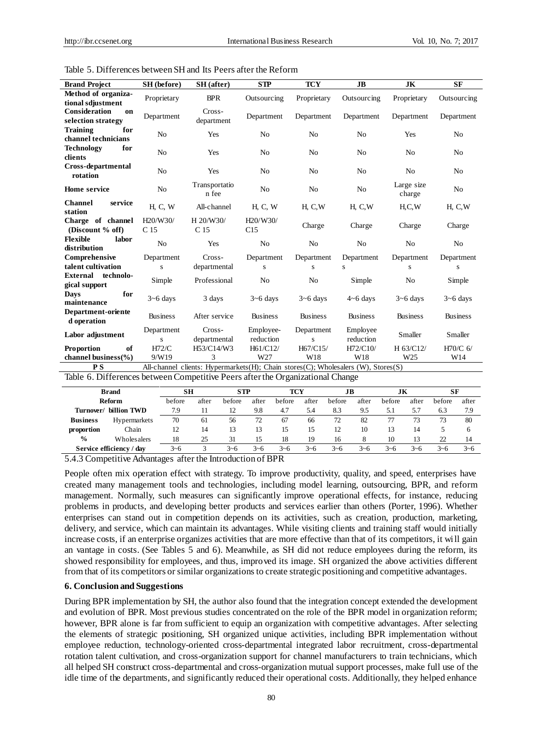| <b>Brand Project</b>                                                           | SH (before)                        | SH (after)                                                                        | <b>STP</b>                         | <b>TCY</b>              | <b>JB</b>       | JK              | <b>SF</b>       |
|--------------------------------------------------------------------------------|------------------------------------|-----------------------------------------------------------------------------------|------------------------------------|-------------------------|-----------------|-----------------|-----------------|
| Method of organiza-                                                            | Proprietary                        | <b>BPR</b>                                                                        | Outsourcing                        | Proprietary             | Outsourcing     | Proprietary     | Outsourcing     |
| tional sdjustment                                                              |                                    |                                                                                   |                                    |                         |                 |                 |                 |
| <b>Consideration</b><br>on                                                     | Department                         | $Cross-$                                                                          | Department                         | Department              | Department      | Department      | Department      |
| selection strategy                                                             |                                    | department                                                                        |                                    |                         |                 |                 |                 |
| Training<br>for                                                                | N <sub>o</sub>                     | Yes                                                                               | N <sub>0</sub>                     | N <sub>o</sub>          | N <sub>o</sub>  | Yes             | No              |
| channel technicians                                                            |                                    |                                                                                   |                                    |                         |                 |                 |                 |
| for<br><b>Technology</b>                                                       | N <sub>o</sub>                     | Yes                                                                               | No                                 | N <sub>o</sub>          | N <sub>o</sub>  | N <sub>0</sub>  | N <sub>o</sub>  |
| clients                                                                        |                                    |                                                                                   |                                    |                         |                 |                 |                 |
| Cross-departmental<br>rotation                                                 | N <sub>o</sub>                     | Yes                                                                               | N <sub>0</sub>                     | N <sub>0</sub>          | N <sub>o</sub>  | N <sub>0</sub>  | N <sub>0</sub>  |
|                                                                                |                                    | Transportatio                                                                     |                                    |                         |                 | Large size      |                 |
| Home service                                                                   | No                                 | n fee                                                                             | N <sub>0</sub>                     | N <sub>o</sub>          | N <sub>o</sub>  | charge          | N <sub>o</sub>  |
| <b>Channel</b><br>service                                                      |                                    |                                                                                   |                                    |                         |                 |                 |                 |
| station                                                                        | H, C, W                            | All-channel                                                                       | H, C, W                            | H, C.W                  | H, C, W         | H.C.W           | H, C, W         |
| Charge of channel                                                              | H <sub>20</sub> /W <sub>30</sub> / | H 20/W30/                                                                         | H <sub>20</sub> /W <sub>30</sub> / |                         |                 |                 |                 |
| (Discount % off)                                                               | C <sub>15</sub>                    | C <sub>15</sub>                                                                   | C15                                | Charge                  | Charge          | Charge          | Charge          |
| Flexible<br>labor                                                              |                                    |                                                                                   |                                    |                         |                 |                 |                 |
| distribution                                                                   | N <sub>o</sub>                     | Yes                                                                               | N <sub>0</sub>                     | N <sub>o</sub>          | N <sub>o</sub>  | N <sub>0</sub>  | N <sub>o</sub>  |
| Comprehensive                                                                  | Department                         | $Cross-$                                                                          | Department                         | Department              | Department      | Department      | Department      |
| talent cultivation                                                             | S                                  | departmental                                                                      | S                                  | S                       | S               | S               | s               |
| External<br>technolo-                                                          |                                    |                                                                                   |                                    |                         |                 |                 |                 |
| gical support                                                                  | Simple                             | Professional                                                                      | N <sub>o</sub>                     | N <sub>o</sub>          | Simple          | N <sub>0</sub>  | Simple          |
| for<br><b>Days</b>                                                             |                                    |                                                                                   |                                    |                         |                 |                 |                 |
| maintenance                                                                    | $3 - 6$ days                       | 3 days                                                                            | $3 - 6$ days                       | $3\neg 6$ days          | $4 - 6$ days    | $3 - 6$ days    | $3 - 6$ days    |
| Department-oriente                                                             |                                    |                                                                                   |                                    |                         |                 |                 |                 |
| d operation                                                                    | <b>Business</b>                    | After service                                                                     | <b>Business</b>                    | <b>Business</b>         | <b>Business</b> | <b>Business</b> | <b>Business</b> |
|                                                                                | Department                         | $Cross-$                                                                          | Employee-                          | Department              | Employee        |                 |                 |
| Labor adjustment                                                               | S                                  | departmental                                                                      | reduction                          | $\overline{\mathbf{s}}$ | reduction       | Smaller         | Smaller         |
| Proportion<br>of                                                               | H72/C                              | H53/C14/W3                                                                        | H61/C12/                           | H67/C15/                | H72/C10/        | H 63/C12/       | H70/C $6/$      |
| channel business(%)                                                            | 9/W19                              | 3                                                                                 | W27                                | W18                     | W18             | W <sub>25</sub> | W14             |
| <b>PS</b>                                                                      |                                    | All-channel clients: Hypermarkets(H); Chain stores(C); Wholesalers (W), Stores(S) |                                    |                         |                 |                 |                 |
| Table 6. Differences between Competitive Peers after the Organizational Change |                                    |                                                                                   |                                    |                         |                 |                 |                 |

| Table 5. Differences between SH and Its Peers after the Reform |
|----------------------------------------------------------------|
|----------------------------------------------------------------|

|                 | <b>Brand</b>             | SН            |       | <b>STP</b> |         |         | TCY     |         | .TB     |         | .IK     |         | SF      |
|-----------------|--------------------------|---------------|-------|------------|---------|---------|---------|---------|---------|---------|---------|---------|---------|
|                 | <b>Reform</b>            | <b>before</b> | after | before     | after   | before  | after   | before  | after   | hefore  | after   | before  | after   |
|                 | Turnover/ billion TWD    | 7.9           |       | 12         | 9.8     | 4.7     | 5.4     | 8.3     | 9.5     | 5.1     |         | 6.3     | 7.9     |
| <b>Business</b> | Hypermarkets             | 70            | 61    | 56         | 72      | 67      | 66      | 72      | 82      | 77      | 73      | 73      | 80      |
| proportion      | Chain                    | 12            | 14    | 13         | 13      | 15      | 15      | 12      | 10      | 13      | 14      |         | 6       |
| $\frac{0}{0}$   | Wholesalers              | 18            | 25    | 31         | 15      | 18      | 19      | 16      | 8       | 10      | 13      | 22      | 14      |
|                 | Service efficiency / day | $3 - 6$       |       | $3 - 6$    | $3 - 6$ | $3 - 6$ | $3 - 6$ | $3 - 6$ | $3 - 6$ | $3 - 6$ | $3 - 6$ | $3 - 6$ | $3 - 6$ |

5.4.3 Competitive Advantages after the Introduction of BPR

People often mix operation effect with strategy. To improve productivity, quality, and speed, enterprises have created many management tools and technologies, including model learning, outsourcing, BPR, and reform management. Normally, such measures can significantly improve operational effects, for instance, reducing problems in products, and developing better products and services earlier than others (Porter, 1996). Whether enterprises can stand out in competition depends on its activities, such as creation, production, marketing, delivery, and service, which can maintain its advantages. While visiting clients and training staff would initially increase costs, if an enterprise organizes activities that are more effective than that of its competitors, it will gain an vantage in costs. (See Tables 5 and 6). Meanwhile, as SH did not reduce employees during the reform, its showed responsibility for employees, and thus, improved its image. SH organized the above activities different from that of its competitors or similar organizations to create strategic positioning and competitive advantages.

#### **6. Conclusion and Suggestions**

During BPR implementation by SH, the author also found that the integration concept extended the development and evolution of BPR. Most previous studies concentrated on the role of the BPR model in organization reform; however, BPR alone is far from sufficient to equip an organization with competitive advantages. After selecting the elements of strategic positioning, SH organized unique activities, including BPR implementation without employee reduction, technology-oriented cross-departmental integrated labor recruitment, cross-departmental rotation talent cultivation, and cross-organization support for channel manufacturers to train technicians, which all helped SH construct cross-departmental and cross-organization mutual support processes, make full use of the idle time of the departments, and significantly reduced their operational costs. Additionally, they helped enhance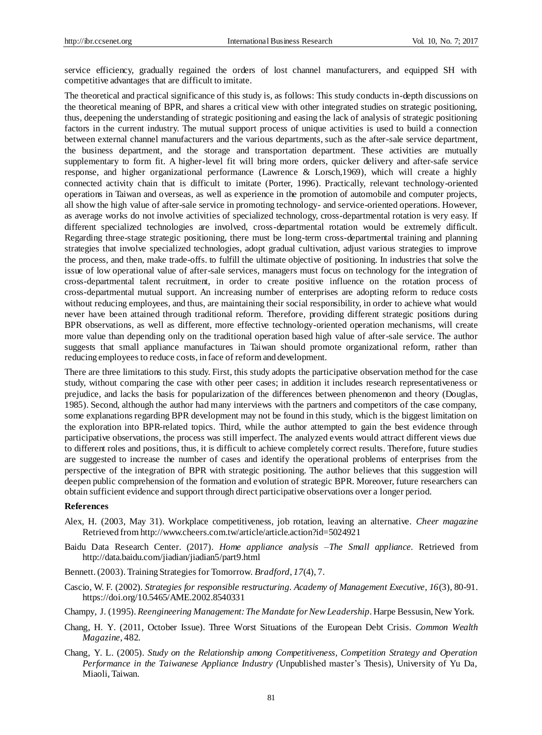service efficiency, gradually regained the orders of lost channel manufacturers, and equipped SH with competitive advantages that are difficult to imitate.

The theoretical and practical significance of this study is, as follows: This study conducts in-depth discussions on the theoretical meaning of BPR, and shares a critical view with other integrated studies on strategic positioning, thus, deepening the understanding of strategic positioning and easing the lack of analysis of strategic positioning factors in the current industry. The mutual support process of unique activities is used to build a connection between external channel manufacturers and the various departments, such as the after-sale service department, the business department, and the storage and transportation department. These activities are mutually supplementary to form fit. A higher-level fit will bring more orders, quicker delivery and after-safe service response, and higher organizational performance (Lawrence & Lorsch,1969), which will create a highly connected activity chain that is difficult to imitate (Porter, 1996). Practically, relevant technology-oriented operations in Taiwan and overseas, as well as experience in the promotion of automobile and computer projects, all show the high value of after-sale service in promoting technology- and service-oriented operations. However, as average works do not involve activities of specialized technology, cross-departmental rotation is very easy. If different specialized technologies are involved, cross-departmental rotation would be extremely difficult. Regarding three-stage strategic positioning, there must be long-term cross-departmental training and planning strategies that involve specialized technologies, adopt gradual cultivation, adjust various strategies to improve the process, and then, make trade-offs. to fulfill the ultimate objective of positioning. In industries that solve the issue of low operational value of after-sale services, managers must focus on technology for the integration of cross-departmental talent recruitment, in order to create positive influence on the rotation process of cross-departmental mutual support. An increasing number of enterprises are adopting reform to reduce costs without reducing employees, and thus, are maintaining their social responsibility, in order to achieve what would never have been attained through traditional reform. Therefore, providing different strategic positions during BPR observations, as well as different, more effective technology-oriented operation mechanisms, will create more value than depending only on the traditional operation based high value of after-sale service. The author suggests that small appliance manufactures in Taiwan should promote organizational reform, rather than reducing employees to reduce costs, in face of reform and development.

There are three limitations to this study. First, this study adopts the participative observation method for the case study, without comparing the case with other peer cases; in addition it includes research representativeness or prejudice, and lacks the basis for popularization of the differences between phenomenon and theory (Douglas, 1985). Second, although the author had many interviews with the partners and competitors of the case company, some explanations regarding BPR development may not be found in this study, which is the biggest limitation on the exploration into BPR-related topics. Third, while the author attempted to gain the best evidence through participative observations, the process was still imperfect. The analyzed events would attract different views due to different roles and positions, thus, it is difficult to achieve completely correct results. Therefore, future studies are suggested to increase the number of cases and identify the operational problems of enterprises from the perspective of the integration of BPR with strategic positioning. The author believes that this suggestion will deepen public comprehension of the formation and evolution of strategic BPR. Moreover, future researchers can obtain sufficient evidence and support through direct participative observations over a longer period.

#### **References**

- Alex, H. (2003, May 31). Workplace competitiveness, job rotation, leaving an alternative. *Cheer magazine* Retrieved fro[m http://www.cheers.com.tw/article/article.action?id=5024921](http://www.cheers.com.tw/article/article.action?id=5024921)
- Baidu Data Research Center. (2017). *Home appliance analysis –The Small appliance.* Retrieved from http://data.baidu.com/jiadian/jiadian5/part9.html
- Bennett. (2003). Training Strategies for Tomorrow. *Bradford, 17*(4), 7.
- Cascio, W. F. (2002). *Strategies for responsible restructuring. Academy of Management Executive, 16*(3), 80-91. https://doi.org/10.5465/AME.2002.8540331
- Champy, J. (1995). *Reengineering Management: The Mandate for New Leadership*. Harpe Bessusin, New York.
- Chang, H. Y. (2011, October Issue). Three Worst Situations of the European Debt Crisis. *Common Wealth Magazine*, 482.
- Chang, Y. L. (2005). *Study on the Relationship among Competitiveness, Competition Strategy and Operation Performance in the Taiwanese Appliance Industry (*Unpublished master's Thesis), University of Yu Da, Miaoli, Taiwan.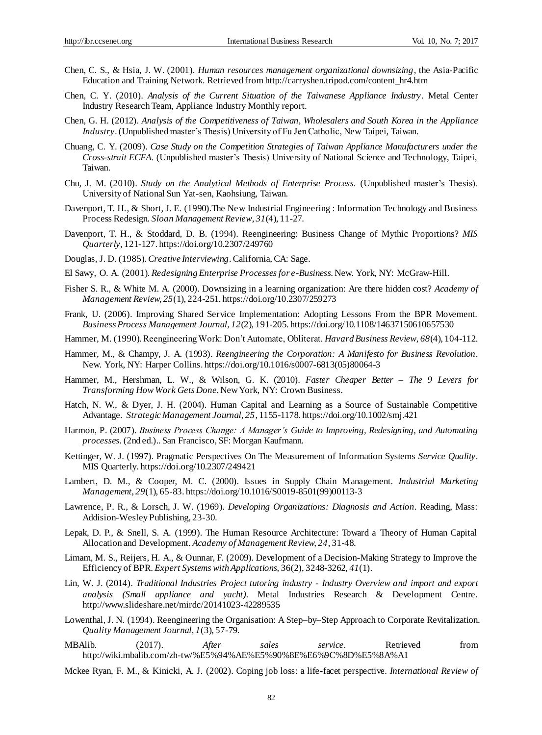- Chen, C. S., & Hsia, J. W. (2001). *Human resources management organizational downsizing*, the Asia-Pacific Education and Training Network. Retrieved from http://carryshen.tripod.com/content\_hr4.htm
- Chen, C. Y. (2010). *Analysis of the Current Situation of the Taiwanese Appliance Industry*. Metal Center Industry Research Team, Appliance Industry Monthly report.
- Chen, G. H. (2012). *Analysis of the Competitiveness of Taiwan, Wholesalers and South Korea in the Appliance Industry*. (Unpublished master's Thesis) University of Fu Jen Catholic, New Taipei, Taiwan.
- Chuang, C. Y. (2009). *Case Study on the Competition Strategies of Taiwan Appliance Manufacturers under the Cross-strait ECFA.* (Unpublished master's Thesis) University of National Science and Technology, Taipei, Taiwan.
- Chu, J. M. (2010). *Study on the Analytical Methods of Enterprise Process.* (Unpublished master's Thesis). University of National Sun Yat-sen, Kaohsiung, Taiwan.
- Davenport, T. H., & Short, J. E. (1990).The New Industrial Engineering : Information Technology and Business Process Redesign. *Sloan Management Review*, *31*(4), 11-27.
- Davenport, T. H., & Stoddard, D. B. (1994). Reengineering: Business Change of Mythic Proportions? *MIS Quarterly*, 121-127. https://doi.org/10.2307/249760
- Douglas, J. D. (1985).*Creative Interviewing*. California, CA: Sage.
- El Sawy, O. A. (2001). *Redesigning Enterprise Processes for e-Business*. New. York, NY: McGraw-Hill.
- Fisher S. R., & White M. A. (2000). Downsizing in a learning organization: Are there hidden cost? *Academy of Management Review, 25*(1), 224-251. https://doi.org/10.2307/259273
- Frank, U. (2006). Improving Shared Service Implementation: Adopting Lessons From the BPR Movement. *Business Process Management Journal, 12*(2), 191-205. https://doi.org/10.1108/14637150610657530
- Hammer, M. (1990). Reengineering Work: Don't Automate, Obliterat. *Havard Business Review, 68*(4), 104-112.
- Hammer, M., & Champy, J. A. (1993). *Reengineering the Corporation: A Manifesto for Business Revolution*. New. York, NY: Harper Collins. https://doi.org/10.1016/s0007-6813(05)80064-3
- Hammer, M., Hershman, L. W., & Wilson, G. K. (2010). *Faster Cheaper Better – The 9 Levers for Transforming How Work Gets Done*. New York, NY: Crown Business.
- Hatch, N. W., & Dyer, J. H. (2004). Human Capital and Learning as a Source of Sustainable Competitive Advantage. *Strategic Management Journal, 25*, 1155-1178. https://doi.org/10.1002/smj.421
- Harmon, P. (2007). *Business Process Change: A Manager's Guide to Improving, Redesigning, and Automating processes.* (2nd ed.).. San Francisco, SF: Morgan Kaufmann.
- Kettinger, W. J. (1997). Pragmatic Perspectives On The Measurement of Information Systems *Service Quality*. MIS Quarterly. https://doi.org/10.2307/249421
- Lambert, D. M., & Cooper, M. C. (2000). Issues in Supply Chain Management. *Industrial Marketing Management, 29*(1), 65-83. https://doi.org/10.1016/S0019-8501(99)00113-3
- Lawrence, P. R., & Lorsch, J. W. (1969). *Developing Organizations: Diagnosis and Action*. Reading, Mass: Addision-Wesley Publishing, 23-30.
- Lepak, D. P., & Snell, S. A. (1999). The Human Resource Architecture: Toward a Theory of Human Capital Allocation and Development. *Academy of Management Review, 24*, 31-48.
- Limam, M. S., Reijers, H. A., & Ounnar, F. (2009). Development of a Decision-Making Strategy to Improve the Efficiency of BPR. *Expert Systems with Applications,* 36(2), 3248-3262, *41*(1).
- Lin, W. J. (2014). *Traditional Industries Project tutoring industry - Industry Overview and import and export analysis (Small appliance and yacht)*. Metal Industries Research & Development Centre. http://www.slideshare.net/mirdc/20141023-42289535
- Lowenthal, J. N. (1994). Reengineering the Organisation: A Step–by–Step Approach to Corporate Revitalization. *Quality Management Journal, 1*(3), 57-79.
- MBAlib. (2017). *After sales service.* Retrieved from [http://wiki.mbalib.com/zh-tw/%E5%94%AE%E5%90%8E%E6%9C%8D%E5%8A%A1](http://wiki.mbalib.com/zh-tw/%E5%94%AE%E5%90%8E%E6%9C%8D%E5%8A%A1，2014)
- Mckee Ryan, F. M., & Kinicki, A. J. (2002). Coping job loss: a life-facet perspective. *International Review of*